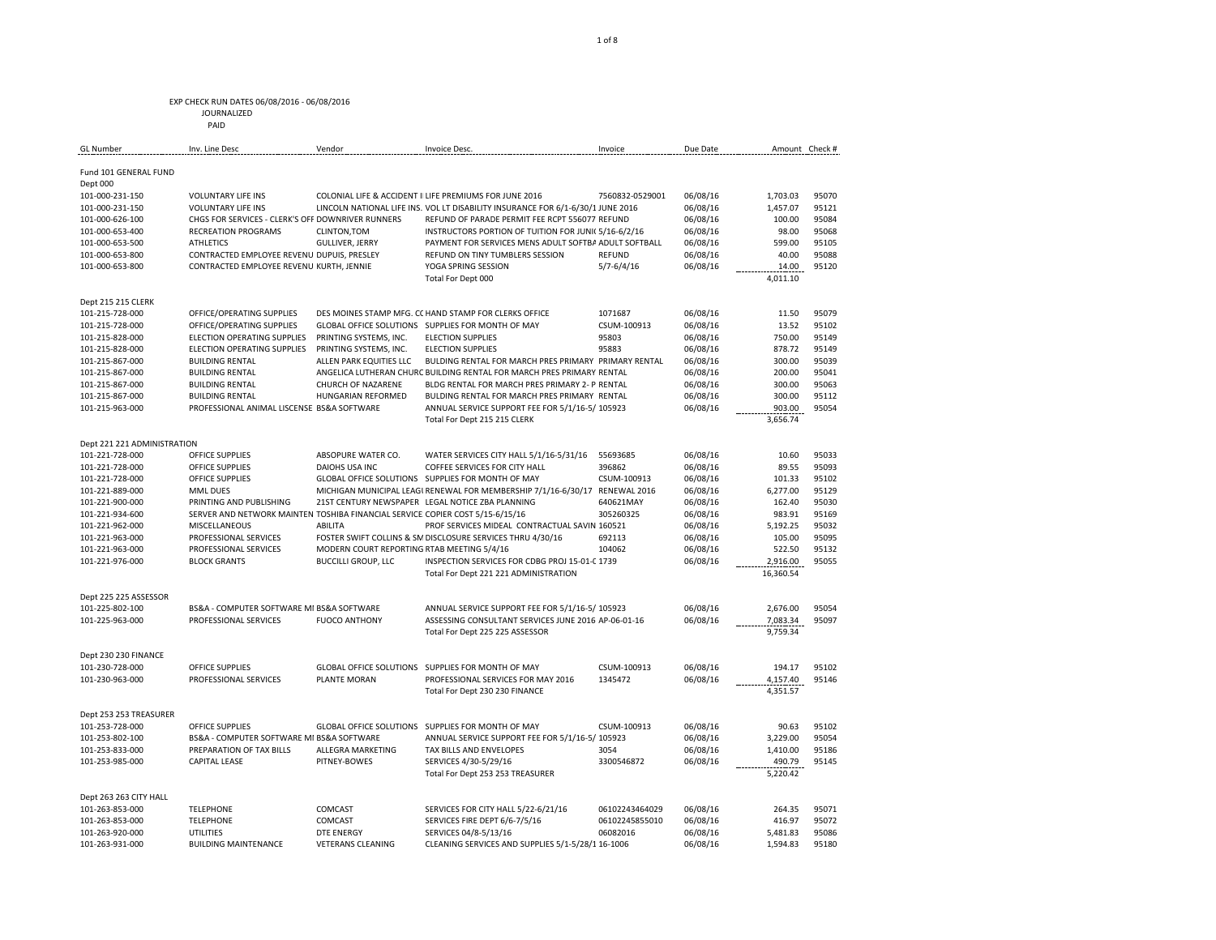| <b>GL Number</b>            | Inv. Line Desc                                                                | Vendor                                     | Invoice Desc.                                                                   | Invoice         | Due Date | Amount Check #     |       |
|-----------------------------|-------------------------------------------------------------------------------|--------------------------------------------|---------------------------------------------------------------------------------|-----------------|----------|--------------------|-------|
|                             |                                                                               |                                            |                                                                                 |                 |          |                    |       |
| Fund 101 GENERAL FUND       |                                                                               |                                            |                                                                                 |                 |          |                    |       |
| Dept 000                    |                                                                               |                                            |                                                                                 |                 |          |                    |       |
| 101-000-231-150             | <b>VOLUNTARY LIFE INS</b>                                                     |                                            | COLONIAL LIFE & ACCIDENT I LIFE PREMIUMS FOR JUNE 2016                          | 7560832-0529001 | 06/08/16 | 1,703.03           | 95070 |
| 101-000-231-150             | <b>VOLUNTARY LIFE INS</b>                                                     |                                            | LINCOLN NATIONAL LIFE INS. VOL LT DISABILITY INSURANCE FOR 6/1-6/30/1 JUNE 2016 |                 | 06/08/16 | 1,457.07           | 95121 |
| 101-000-626-100             | CHGS FOR SERVICES - CLERK'S OFF DOWNRIVER RUNNERS                             |                                            | REFUND OF PARADE PERMIT FEE RCPT 556077 REFUND                                  |                 | 06/08/16 | 100.00             | 95084 |
| 101-000-653-400             | <b>RECREATION PROGRAMS</b>                                                    | CLINTON, TOM                               | INSTRUCTORS PORTION OF TUITION FOR JUNI( 5/16-6/2/16                            |                 | 06/08/16 | 98.00              | 95068 |
| 101-000-653-500             | <b>ATHLETICS</b>                                                              | <b>GULLIVER, JERRY</b>                     | PAYMENT FOR SERVICES MENS ADULT SOFTBA ADULT SOFTBALL                           |                 | 06/08/16 | 599.00             | 95105 |
| 101-000-653-800             | CONTRACTED EMPLOYEE REVENU DUPUIS, PRESLEY                                    |                                            | REFUND ON TINY TUMBLERS SESSION                                                 | <b>REFUND</b>   | 06/08/16 | 40.00              | 95088 |
| 101-000-653-800             | CONTRACTED EMPLOYEE REVENU KURTH, JENNIE                                      |                                            | YOGA SPRING SESSION                                                             | $5/7 - 6/4/16$  | 06/08/16 | 14.00              | 95120 |
|                             |                                                                               |                                            | Total For Dept 000                                                              |                 |          | 4,011.10           |       |
| Dept 215 215 CLERK          |                                                                               |                                            |                                                                                 |                 |          |                    |       |
| 101-215-728-000             | OFFICE/OPERATING SUPPLIES                                                     |                                            | DES MOINES STAMP MFG. C( HAND STAMP FOR CLERKS OFFICE                           | 1071687         | 06/08/16 | 11.50              | 95079 |
| 101-215-728-000             | OFFICE/OPERATING SUPPLIES                                                     |                                            | GLOBAL OFFICE SOLUTIONS SUPPLIES FOR MONTH OF MAY                               | CSUM-100913     | 06/08/16 | 13.52              | 95102 |
| 101-215-828-000             | ELECTION OPERATING SUPPLIES                                                   | PRINTING SYSTEMS, INC.                     | <b>ELECTION SUPPLIES</b>                                                        | 95803           | 06/08/16 | 750.00             | 95149 |
| 101-215-828-000             | ELECTION OPERATING SUPPLIES                                                   | PRINTING SYSTEMS, INC.                     | <b>ELECTION SUPPLIES</b>                                                        | 95883           | 06/08/16 | 878.72             | 95149 |
| 101-215-867-000             | <b>BUILDING RENTAL</b>                                                        | ALLEN PARK EQUITIES LLC                    | BULDING RENTAL FOR MARCH PRES PRIMARY PRIMARY RENTAL                            |                 | 06/08/16 | 300.00             | 95039 |
| 101-215-867-000             | <b>BUILDING RENTAL</b>                                                        |                                            | ANGELICA LUTHERAN CHURC BUILDING RENTAL FOR MARCH PRES PRIMARY RENTAL           |                 | 06/08/16 | 200.00             | 95041 |
| 101-215-867-000             | <b>BUILDING RENTAL</b>                                                        | CHURCH OF NAZARENE                         | BLDG RENTAL FOR MARCH PRES PRIMARY 2- P RENTAL                                  |                 | 06/08/16 | 300.00             | 95063 |
| 101-215-867-000             | <b>BUILDING RENTAL</b>                                                        | HUNGARIAN REFORMED                         | BULDING RENTAL FOR MARCH PRES PRIMARY RENTAL                                    |                 | 06/08/16 | 300.00             | 95112 |
|                             | PROFESSIONAL ANIMAL LISCENSE BS&A SOFTWARE                                    |                                            |                                                                                 |                 |          |                    | 95054 |
| 101-215-963-000             |                                                                               |                                            | ANNUAL SERVICE SUPPORT FEE FOR 5/1/16-5/ 105923                                 |                 | 06/08/16 | 903.00             |       |
|                             |                                                                               |                                            | Total For Dept 215 215 CLERK                                                    |                 |          | 3,656.74           |       |
| Dept 221 221 ADMINISTRATION |                                                                               |                                            |                                                                                 |                 |          |                    |       |
| 101-221-728-000             | <b>OFFICE SUPPLIES</b>                                                        | ABSOPURE WATER CO.                         | WATER SERVICES CITY HALL 5/1/16-5/31/16                                         | 55693685        | 06/08/16 | 10.60              | 95033 |
| 101-221-728-000             | <b>OFFICE SUPPLIES</b>                                                        | DAIOHS USA INC                             | COFFEE SERVICES FOR CITY HALL                                                   | 396862          | 06/08/16 | 89.55              | 95093 |
| 101-221-728-000             | <b>OFFICE SUPPLIES</b>                                                        |                                            | GLOBAL OFFICE SOLUTIONS SUPPLIES FOR MONTH OF MAY                               | CSUM-100913     | 06/08/16 | 101.33             | 95102 |
| 101-221-889-000             | <b>MML DUES</b>                                                               |                                            | MICHIGAN MUNICIPAL LEAGI RENEWAL FOR MEMBERSHIP 7/1/16-6/30/17 RENEWAL 2016     |                 | 06/08/16 | 6,277.00           | 95129 |
| 101-221-900-000             | PRINTING AND PUBLISHING                                                       |                                            | 21ST CENTURY NEWSPAPER LEGAL NOTICE ZBA PLANNING                                | 640621MAY       | 06/08/16 | 162.40             | 95030 |
| 101-221-934-600             | SERVER AND NETWORK MAINTEN TOSHIBA FINANCIAL SERVICE COPIER COST 5/15-6/15/16 |                                            |                                                                                 | 305260325       | 06/08/16 | 983.91             | 95169 |
| 101-221-962-000             | MISCELLANEOUS                                                                 | <b>ABILITA</b>                             | PROF SERVICES MIDEAL CONTRACTUAL SAVIN 160521                                   |                 | 06/08/16 | 5,192.25           | 95032 |
| 101-221-963-000             | PROFESSIONAL SERVICES                                                         |                                            | FOSTER SWIFT COLLINS & SN DISCLOSURE SERVICES THRU 4/30/16                      | 692113          | 06/08/16 | 105.00             | 95095 |
| 101-221-963-000             | PROFESSIONAL SERVICES                                                         | MODERN COURT REPORTING RTAB MEETING 5/4/16 |                                                                                 | 104062          | 06/08/16 | 522.50             | 95132 |
| 101-221-976-000             | <b>BLOCK GRANTS</b>                                                           | <b>BUCCILLI GROUP, LLC</b>                 | INSPECTION SERVICES FOR CDBG PROJ 15-01-C 1739                                  |                 | 06/08/16 | 2,916.00           | 95055 |
|                             |                                                                               |                                            | Total For Dept 221 221 ADMINISTRATION                                           |                 |          | 16,360.54          |       |
|                             |                                                                               |                                            |                                                                                 |                 |          |                    |       |
| Dept 225 225 ASSESSOR       |                                                                               |                                            |                                                                                 |                 |          |                    |       |
| 101-225-802-100             | BS&A - COMPUTER SOFTWARE MI BS&A SOFTWARE                                     |                                            | ANNUAL SERVICE SUPPORT FEE FOR 5/1/16-5/ 105923                                 |                 | 06/08/16 | 2,676.00           | 95054 |
| 101-225-963-000             | PROFESSIONAL SERVICES                                                         | <b>FUOCO ANTHONY</b>                       | ASSESSING CONSULTANT SERVICES JUNE 2016 AP-06-01-16                             |                 | 06/08/16 | 7,083.34           | 95097 |
|                             |                                                                               |                                            | Total For Dept 225 225 ASSESSOR                                                 |                 |          | 9,759.34           |       |
| Dept 230 230 FINANCE        |                                                                               |                                            |                                                                                 |                 |          |                    |       |
| 101-230-728-000             | <b>OFFICE SUPPLIES</b>                                                        |                                            | GLOBAL OFFICE SOLUTIONS SUPPLIES FOR MONTH OF MAY                               | CSUM-100913     | 06/08/16 | 194.17             | 95102 |
| 101-230-963-000             | PROFESSIONAL SERVICES                                                         | PLANTE MORAN                               | PROFESSIONAL SERVICES FOR MAY 2016                                              | 1345472         | 06/08/16 | 4,157.40           | 95146 |
|                             |                                                                               |                                            | Total For Dept 230 230 FINANCE                                                  |                 |          | 4,351.57           |       |
| Dept 253 253 TREASURER      |                                                                               |                                            |                                                                                 |                 |          |                    |       |
| 101-253-728-000             | <b>OFFICE SUPPLIES</b>                                                        |                                            | GLOBAL OFFICE SOLUTIONS SUPPLIES FOR MONTH OF MAY                               | CSUM-100913     | 06/08/16 | 90.63              | 95102 |
|                             |                                                                               |                                            |                                                                                 |                 |          |                    | 95054 |
| 101-253-802-100             | BS&A - COMPUTER SOFTWARE MI BS&A SOFTWARE                                     |                                            | ANNUAL SERVICE SUPPORT FEE FOR 5/1/16-5/ 105923                                 |                 | 06/08/16 | 3,229.00           | 95186 |
| 101-253-833-000             | PREPARATION OF TAX BILLS                                                      | ALLEGRA MARKETING                          | TAX BILLS AND ENVELOPES                                                         | 3054            | 06/08/16 | 1,410.00           |       |
| 101-253-985-000             | <b>CAPITAL LEASE</b>                                                          | PITNEY-BOWES                               | SERVICES 4/30-5/29/16<br>Total For Dept 253 253 TREASURER                       | 3300546872      | 06/08/16 | 490.79<br>5,220.42 | 95145 |
|                             |                                                                               |                                            |                                                                                 |                 |          |                    |       |
| Dept 263 263 CITY HALL      |                                                                               |                                            |                                                                                 |                 |          |                    |       |
| 101-263-853-000             | <b>TELEPHONE</b>                                                              | COMCAST                                    | SERVICES FOR CITY HALL 5/22-6/21/16                                             | 06102243464029  | 06/08/16 | 264.35             | 95071 |
| 101-263-853-000             | <b>TELEPHONE</b>                                                              | COMCAST                                    | SERVICES FIRE DEPT 6/6-7/5/16                                                   | 06102245855010  | 06/08/16 | 416.97             | 95072 |
| 101-263-920-000             | UTILITIES                                                                     | DTE ENERGY                                 | SERVICES 04/8-5/13/16                                                           | 06082016        | 06/08/16 | 5,481.83           | 95086 |
| 101-263-931-000             | <b>BUILDING MAINTENANCE</b>                                                   | <b>VETERANS CLEANING</b>                   | CLEANING SERVICES AND SUPPLIES 5/1-5/28/1 16-1006                               |                 | 06/08/16 | 1,594.83           | 95180 |

 JOURNALIZED PAID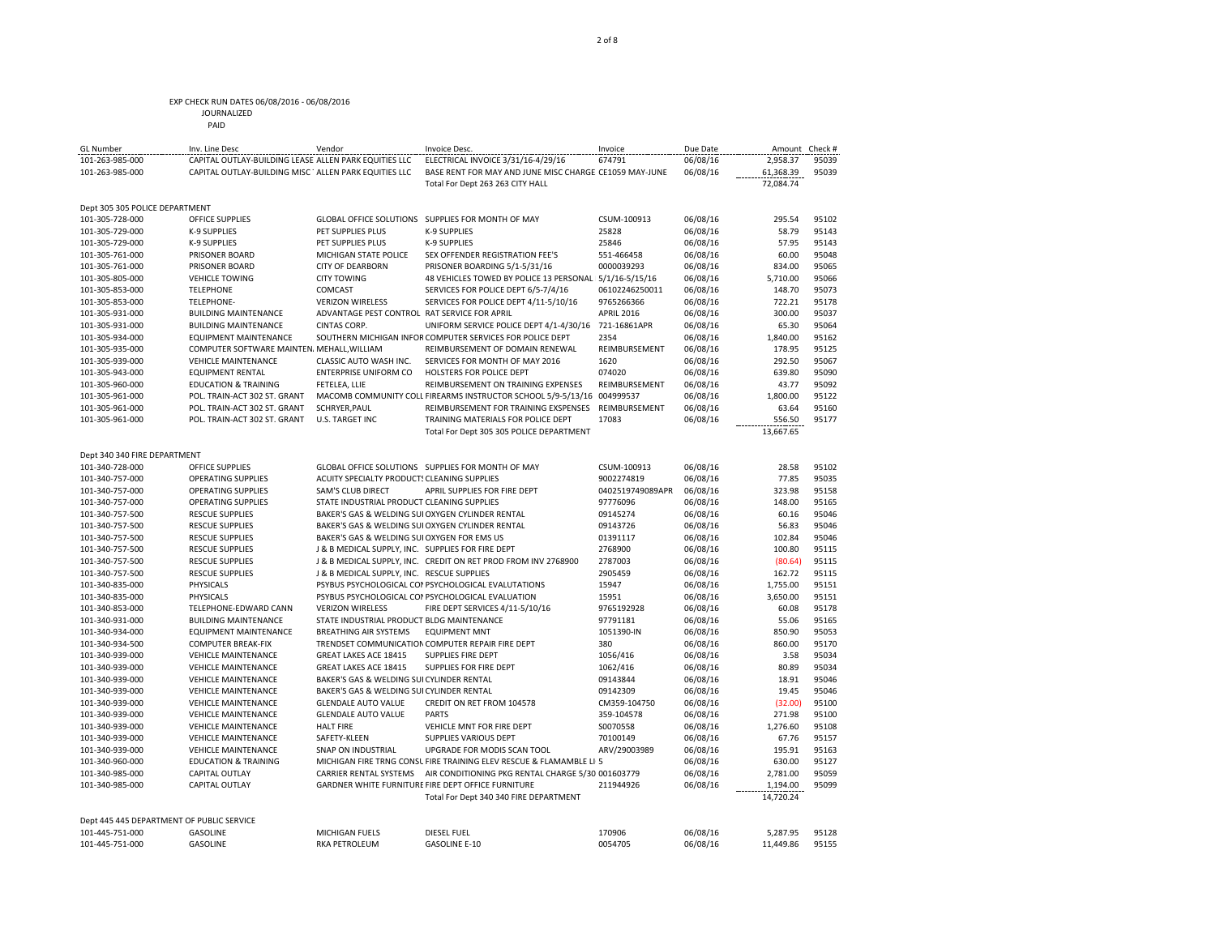| JOURNALIZED |
|-------------|
| PAID        |

| <b>GL Number</b>               | Inv. Line Desc                                         | Vendor                                            | Invoice Desc.                                                          | Invoice           | Due Date |           | Amount Check # |
|--------------------------------|--------------------------------------------------------|---------------------------------------------------|------------------------------------------------------------------------|-------------------|----------|-----------|----------------|
| 101-263-985-000                | CAPITAL OUTLAY-BUILDING LEASE ALLEN PARK EQUITIES LLC  |                                                   | ELECTRICAL INVOICE 3/31/16-4/29/16                                     | 674791            | 06/08/16 | 2,958.37  | 95039          |
| 101-263-985-000                | CAPITAL OUTLAY-BUILDING MISC ' ALLEN PARK EQUITIES LLC |                                                   | BASE RENT FOR MAY AND JUNE MISC CHARGE CE1059 MAY-JUNE                 |                   | 06/08/16 | 61,368.39 | 95039          |
|                                |                                                        |                                                   | Total For Dept 263 263 CITY HALL                                       |                   |          | 72,084.74 |                |
| Dept 305 305 POLICE DEPARTMENT |                                                        |                                                   |                                                                        |                   |          |           |                |
| 101-305-728-000                | <b>OFFICE SUPPLIES</b>                                 |                                                   | GLOBAL OFFICE SOLUTIONS SUPPLIES FOR MONTH OF MAY                      | CSUM-100913       | 06/08/16 | 295.54    | 95102          |
| 101-305-729-000                | <b>K-9 SUPPLIES</b>                                    | PET SUPPLIES PLUS                                 | <b>K-9 SUPPLIES</b>                                                    | 25828             | 06/08/16 | 58.79     | 95143          |
| 101-305-729-000                | K-9 SUPPLIES                                           | PET SUPPLIES PLUS                                 | K-9 SUPPLIES                                                           | 25846             | 06/08/16 | 57.95     | 95143          |
| 101-305-761-000                | PRISONER BOARD                                         | MICHIGAN STATE POLICE                             | SEX OFFENDER REGISTRATION FEE'S                                        | 551-466458        | 06/08/16 | 60.00     | 95048          |
| 101-305-761-000                | PRISONER BOARD                                         | <b>CITY OF DEARBORN</b>                           | PRISONER BOARDING 5/1-5/31/16                                          | 0000039293        | 06/08/16 | 834.00    | 95065          |
| 101-305-805-000                | <b>VEHICLE TOWING</b>                                  | <b>CITY TOWING</b>                                | 48 VEHICLES TOWED BY POLICE 13 PERSONAL                                | 5/1/16-5/15/16    | 06/08/16 | 5,710.00  | 95066          |
| 101-305-853-000                | <b>TELEPHONE</b>                                       | COMCAST                                           | SERVICES FOR POLICE DEPT 6/5-7/4/16                                    | 06102246250011    | 06/08/16 | 148.70    | 95073          |
| 101-305-853-000                | <b>TELEPHONE-</b>                                      | <b>VERIZON WIRELESS</b>                           | SERVICES FOR POLICE DEPT 4/11-5/10/16                                  | 9765266366        | 06/08/16 | 722.21    | 95178          |
| 101-305-931-000                | <b>BUILDING MAINTENANCE</b>                            | ADVANTAGE PEST CONTROL RAT SERVICE FOR APRIL      |                                                                        | <b>APRIL 2016</b> | 06/08/16 | 300.00    | 95037          |
| 101-305-931-000                | <b>BUILDING MAINTENANCE</b>                            | <b>CINTAS CORP.</b>                               | UNIFORM SERVICE POLICE DEPT 4/1-4/30/16                                | 721-16861APR      | 06/08/16 | 65.30     | 95064          |
| 101-305-934-000                | EQUIPMENT MAINTENANCE                                  |                                                   | SOUTHERN MICHIGAN INFOF COMPUTER SERVICES FOR POLICE DEPT              | 2354              | 06/08/16 | 1,840.00  | 95162          |
| 101-305-935-000                | COMPUTER SOFTWARE MAINTEN, MEHALL WILLIAM              |                                                   | REIMBURSEMENT OF DOMAIN RENEWAL                                        | REIMBURSEMENT     | 06/08/16 | 178.95    | 95125          |
| 101-305-939-000                | <b>VEHICLE MAINTENANCE</b>                             | CLASSIC AUTO WASH INC.                            | SERVICES FOR MONTH OF MAY 2016                                         | 1620              | 06/08/16 | 292.50    | 95067          |
| 101-305-943-000                | <b>EQUIPMENT RENTAL</b>                                | <b>ENTERPRISE UNIFORM CO</b>                      | HOLSTERS FOR POLICE DEPT                                               | 074020            | 06/08/16 | 639.80    | 95090          |
| 101-305-960-000                | <b>EDUCATION &amp; TRAINING</b>                        | FETELEA, LLIE                                     | REIMBURSEMENT ON TRAINING EXPENSES                                     | REIMBURSEMENT     | 06/08/16 | 43.77     | 95092          |
| 101-305-961-000                | POL. TRAIN-ACT 302 ST. GRANT                           |                                                   | MACOMB COMMUNITY COLL FIREARMS INSTRUCTOR SCHOOL 5/9-5/13/16 004999537 |                   | 06/08/16 | 1,800.00  | 95122          |
| 101-305-961-000                | POL. TRAIN-ACT 302 ST. GRANT                           | SCHRYER, PAUL                                     | REIMBURSEMENT FOR TRAINING EXSPENSES                                   | REIMBURSEMENT     | 06/08/16 | 63.64     | 95160          |
| 101-305-961-000                | POL. TRAIN-ACT 302 ST. GRANT                           | <b>U.S. TARGET INC.</b>                           | TRAINING MATERIALS FOR POLICE DEPT                                     | 17083             | 06/08/16 | 556.50    | 95177          |
|                                |                                                        |                                                   | Total For Dept 305 305 POLICE DEPARTMENT                               |                   |          | 13,667.65 |                |
|                                |                                                        |                                                   |                                                                        |                   |          |           |                |
| Dept 340 340 FIRE DEPARTMENT   |                                                        |                                                   |                                                                        |                   |          |           |                |
| 101-340-728-000                | <b>OFFICE SUPPLIES</b>                                 |                                                   | GLOBAL OFFICE SOLUTIONS SUPPLIES FOR MONTH OF MAY                      | CSUM-100913       | 06/08/16 | 28.58     | 95102          |
| 101-340-757-000                | <b>OPERATING SUPPLIES</b>                              | ACUITY SPECIALTY PRODUCT: CLEANING SUPPLIES       |                                                                        | 9002274819        | 06/08/16 | 77.85     | 95035          |
| 101-340-757-000                | <b>OPERATING SUPPLIES</b>                              | <b>SAM'S CLUB DIRECT</b>                          | APRIL SUPPLIES FOR FIRE DEPT                                           | 0402519749089APR  | 06/08/16 | 323.98    | 95158          |
| 101-340-757-000                | <b>OPERATING SUPPLIES</b>                              | STATE INDUSTRIAL PRODUCT CLEANING SUPPLIES        |                                                                        | 97776096          | 06/08/16 | 148.00    | 95165          |
| 101-340-757-500                | <b>RESCUE SUPPLIES</b>                                 | BAKER'S GAS & WELDING SUI OXYGEN CYLINDER RENTAL  |                                                                        | 09145274          | 06/08/16 | 60.16     | 95046          |
| 101-340-757-500                | <b>RESCUE SUPPLIES</b>                                 | BAKER'S GAS & WELDING SUI OXYGEN CYLINDER RENTAL  |                                                                        | 09143726          | 06/08/16 | 56.83     | 95046          |
| 101-340-757-500                | <b>RESCUE SUPPLIES</b>                                 | BAKER'S GAS & WELDING SUI OXYGEN FOR EMS US       |                                                                        | 01391117          | 06/08/16 | 102.84    | 95046          |
| 101-340-757-500                | RESCUE SUPPLIES                                        | L& B MEDICAL SLIPPLY INC. SLIPPLIES FOR FIRE DEPT |                                                                        | 2768900           | 06/08/16 | 100.80    | 95115          |

| 101-340-757-000                           | <b>OPERATING SUPPLIES</b>       | SAM'S CLUB DIRECT                                 | APRIL SUPPLIES FOR FIRE DEPT                                        | 0402519749089APR | 06/08/16 | 323.98    | 95158 |
|-------------------------------------------|---------------------------------|---------------------------------------------------|---------------------------------------------------------------------|------------------|----------|-----------|-------|
| 101-340-757-000                           | <b>OPERATING SUPPLIES</b>       | STATE INDUSTRIAL PRODUCT CLEANING SUPPLIES        |                                                                     | 97776096         | 06/08/16 | 148.00    | 95165 |
| 101-340-757-500                           | <b>RESCUE SUPPLIES</b>          |                                                   | BAKER'S GAS & WELDING SULOXYGEN CYLINDER RENTAL                     | 09145274         | 06/08/16 | 60.16     | 95046 |
| 101-340-757-500                           | <b>RESCUE SUPPLIES</b>          |                                                   | BAKER'S GAS & WELDING SUI OXYGEN CYLINDER RENTAL                    | 09143726         | 06/08/16 | 56.83     | 95046 |
| 101-340-757-500                           | <b>RESCUE SUPPLIES</b>          | BAKER'S GAS & WELDING SUI OXYGEN FOR EMS US       |                                                                     | 01391117         | 06/08/16 | 102.84    | 95046 |
| 101-340-757-500                           | <b>RESCUE SUPPLIES</b>          | J & B MEDICAL SUPPLY, INC. SUPPLIES FOR FIRE DEPT |                                                                     | 2768900          | 06/08/16 | 100.80    | 95115 |
| 101-340-757-500                           | <b>RESCUE SUPPLIES</b>          |                                                   | J & B MEDICAL SUPPLY, INC. CREDIT ON RET PROD FROM INV 2768900      | 2787003          | 06/08/16 | (80.64)   | 95115 |
| 101-340-757-500                           | <b>RESCUE SUPPLIES</b>          | J & B MEDICAL SUPPLY, INC. RESCUE SUPPLIES        |                                                                     | 2905459          | 06/08/16 | 162.72    | 95115 |
| 101-340-835-000                           | <b>PHYSICALS</b>                |                                                   | PSYBUS PSYCHOLOGICAL COI PSYCHOLOGICAL EVALUTATIONS                 | 15947            | 06/08/16 | 1,755.00  | 95151 |
| 101-340-835-000                           | <b>PHYSICALS</b>                |                                                   | PSYBUS PSYCHOLOGICAL COI PSYCHOLOGICAL EVALUATION                   | 15951            | 06/08/16 | 3,650.00  | 95151 |
| 101-340-853-000                           | TFLFPHONF-FDWARD CANN           | <b>VERIZON WIRELESS</b>                           | FIRE DEPT SERVICES 4/11-5/10/16                                     | 9765192928       | 06/08/16 | 60.08     | 95178 |
| 101-340-931-000                           | <b>BUILDING MAINTENANCE</b>     | STATE INDUSTRIAL PRODUCT BLDG MAINTENANCE         |                                                                     | 97791181         | 06/08/16 | 55.06     | 95165 |
| 101-340-934-000                           | <b>EQUIPMENT MAINTENANCE</b>    | <b>BREATHING AIR SYSTEMS</b>                      | <b>EQUIPMENT MNT</b>                                                | 1051390-IN       | 06/08/16 | 850.90    | 95053 |
| 101-340-934-500                           | <b>COMPUTER BREAK-FIX</b>       |                                                   | TRENDSET COMMUNICATION COMPUTER REPAIR FIRE DEPT                    | 380              | 06/08/16 | 860.00    | 95170 |
| 101-340-939-000                           | <b>VEHICLE MAINTENANCE</b>      | <b>GREAT LAKES ACE 18415</b>                      | <b>SUPPLIES FIRE DEPT</b>                                           | 1056/416         | 06/08/16 | 3.58      | 95034 |
| 101-340-939-000                           | <b>VEHICLE MAINTENANCE</b>      | GREAT LAKES ACE 18415                             | <b>SUPPLIES FOR FIRE DEPT</b>                                       | 1062/416         | 06/08/16 | 80.89     | 95034 |
| 101-340-939-000                           | <b>VEHICLE MAINTENANCE</b>      | BAKER'S GAS & WELDING SUI CYLINDER RENTAL         |                                                                     | 09143844         | 06/08/16 | 18.91     | 95046 |
| 101-340-939-000                           | <b>VEHICLE MAINTENANCE</b>      | BAKER'S GAS & WELDING SUI CYLINDER RENTAL         |                                                                     | 09142309         | 06/08/16 | 19.45     | 95046 |
| 101-340-939-000                           | <b>VEHICLE MAINTENANCE</b>      | <b>GLENDALE AUTO VALUE</b>                        | CREDIT ON RET FROM 104578                                           | CM359-104750     | 06/08/16 | (32.00)   | 95100 |
| 101-340-939-000                           | <b>VEHICLE MAINTENANCE</b>      | <b>GLENDALE AUTO VALUE</b>                        | <b>PARTS</b>                                                        | 359-104578       | 06/08/16 | 271.98    | 95100 |
| 101-340-939-000                           | <b>VEHICLE MAINTENANCE</b>      | <b>HALT FIRE</b>                                  | VEHICLE MNT FOR FIRE DEPT                                           | S0070558         | 06/08/16 | 1,276.60  | 95108 |
| 101-340-939-000                           | <b>VEHICLE MAINTENANCE</b>      | SAFETY-KLEEN                                      | <b>SUPPLIES VARIOUS DEPT</b>                                        | 70100149         | 06/08/16 | 67.76     | 95157 |
| 101-340-939-000                           | <b>VEHICLE MAINTENANCE</b>      | <b>SNAP ON INDUSTRIAL</b>                         | UPGRADE FOR MODIS SCAN TOOL                                         | ARV/29003989     | 06/08/16 | 195.91    | 95163 |
| 101-340-960-000                           | <b>EDUCATION &amp; TRAINING</b> |                                                   | MICHIGAN FIRE TRNG CONSL FIRE TRAINING ELEV RESCUE & FLAMAMBLE LI 5 |                  | 06/08/16 | 630.00    | 95127 |
| 101-340-985-000                           | <b>CAPITAL OUTLAY</b>           | <b>CARRIER RENTAL SYSTEMS</b>                     | AIR CONDITIONING PKG RENTAL CHARGE 5/30 001603779                   |                  | 06/08/16 | 2,781.00  | 95059 |
| 101-340-985-000                           | <b>CAPITAL OUTLAY</b>           |                                                   | GARDNER WHITE FURNITURE FIRE DEPT OFFICE FURNITURE                  | 211944926        | 06/08/16 | 1,194.00  | 95099 |
|                                           |                                 |                                                   | Total For Dept 340 340 FIRE DEPARTMENT                              |                  |          | 14,720.24 |       |
| Dept 445 445 DEPARTMENT OF PUBLIC SERVICE |                                 |                                                   |                                                                     |                  |          |           |       |
| 101-445-751-000                           | <b>GASOLINE</b>                 | <b>MICHIGAN FUELS</b>                             | <b>DIESEL FUEL</b>                                                  | 170906           | 06/08/16 | 5.287.95  | 95128 |
| 101-445-751-000                           | GASOLINE                        | <b>RKA PETROLEUM</b>                              | <b>GASOLINE E-10</b>                                                | 0054705          | 06/08/16 | 11.449.86 | 95155 |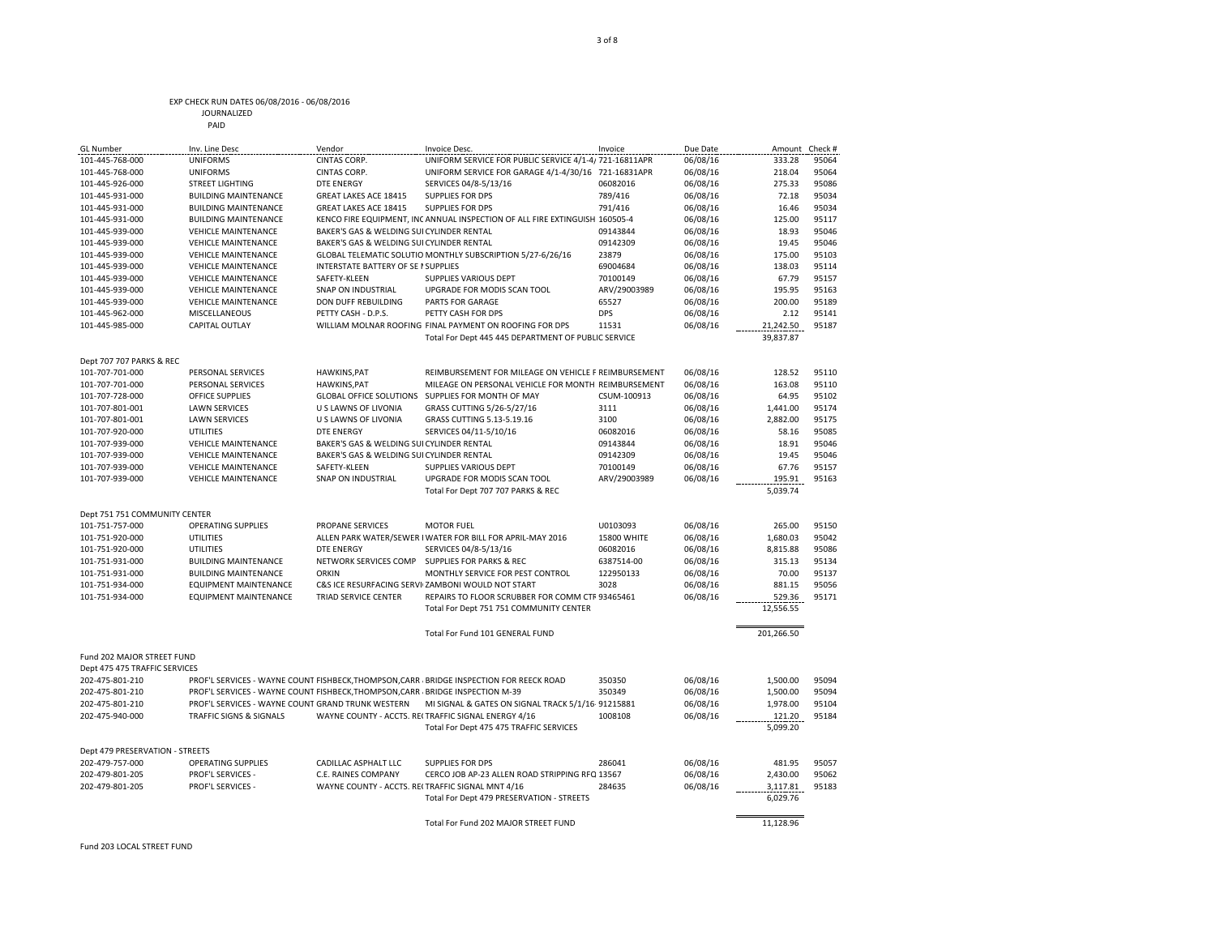#### EXP CHECK RUN DATES 06/08/2016 - 06/08/2016 JOURNALIZED

PAID

| <b>GL Number</b>                | Inv. Line Desc                                                              | Vendor                                            | Invoice Desc.                                                                           | Invoice      | Due Date | Amount Check # |       |
|---------------------------------|-----------------------------------------------------------------------------|---------------------------------------------------|-----------------------------------------------------------------------------------------|--------------|----------|----------------|-------|
| 101-445-768-000                 | <b>UNIFORMS</b>                                                             | CINTAS CORP.                                      | UNIFORM SERVICE FOR PUBLIC SERVICE 4/1-4/721-16811APR                                   |              | 06/08/16 | 333.28         | 95064 |
| 101-445-768-000                 | <b>UNIFORMS</b>                                                             | CINTAS CORP.                                      | UNIFORM SERVICE FOR GARAGE 4/1-4/30/16                                                  | 721-16831APR | 06/08/16 | 218.04         | 95064 |
| 101-445-926-000                 | <b>STREET LIGHTING</b>                                                      | DTE ENERGY                                        | SERVICES 04/8-5/13/16                                                                   | 06082016     | 06/08/16 | 275.33         | 95086 |
| 101-445-931-000                 | <b>BUILDING MAINTENANCE</b>                                                 | GREAT LAKES ACE 18415                             | <b>SUPPLIES FOR DPS</b>                                                                 | 789/416      | 06/08/16 | 72.18          | 95034 |
| 101-445-931-000                 | <b>BUILDING MAINTENANCE</b>                                                 | GREAT LAKES ACE 18415                             | <b>SUPPLIES FOR DPS</b>                                                                 | 791/416      | 06/08/16 | 16.46          | 95034 |
| 101-445-931-000                 | <b>BUILDING MAINTENANCE</b>                                                 |                                                   | KENCO FIRE EQUIPMENT, INC ANNUAL INSPECTION OF ALL FIRE EXTINGUISH 160505-4             |              | 06/08/16 | 125.00         | 95117 |
| 101-445-939-000                 | <b>VEHICLE MAINTENANCE</b>                                                  | BAKER'S GAS & WELDING SUI CYLINDER RENTAL         |                                                                                         | 09143844     | 06/08/16 | 18.93          | 95046 |
| 101-445-939-000                 | <b>VEHICLE MAINTENANCE</b>                                                  | BAKER'S GAS & WELDING SUI CYLINDER RENTAL         |                                                                                         | 09142309     | 06/08/16 | 19.45          | 95046 |
| 101-445-939-000                 | <b>VEHICLE MAINTENANCE</b>                                                  |                                                   | GLOBAL TELEMATIC SOLUTIO MONTHLY SUBSCRIPTION 5/27-6/26/16                              | 23879        | 06/08/16 | 175.00         | 95103 |
| 101-445-939-000                 | <b>VEHICLE MAINTENANCE</b>                                                  | INTERSTATE BATTERY OF SE I SUPPLIES               |                                                                                         | 69004684     | 06/08/16 | 138.03         | 95114 |
| 101-445-939-000                 | <b>VEHICLE MAINTENANCE</b>                                                  | SAFETY-KLEEN                                      | SUPPLIES VARIOUS DEPT                                                                   | 70100149     | 06/08/16 | 67.79          | 95157 |
| 101-445-939-000                 | <b>VEHICLE MAINTENANCE</b>                                                  | SNAP ON INDUSTRIAL                                | UPGRADE FOR MODIS SCAN TOOL                                                             | ARV/29003989 | 06/08/16 | 195.95         | 95163 |
| 101-445-939-000                 | <b>VEHICLE MAINTENANCE</b>                                                  | DON DUFF REBUILDING                               | PARTS FOR GARAGE                                                                        | 65527        | 06/08/16 | 200.00         | 95189 |
| 101-445-962-000                 | MISCELLANEOUS                                                               | PETTY CASH - D.P.S.                               | PETTY CASH FOR DPS                                                                      | <b>DPS</b>   | 06/08/16 | 2.12           | 95141 |
| 101-445-985-000                 | <b>CAPITAL OUTLAY</b>                                                       |                                                   | WILLIAM MOLNAR ROOFING FINAL PAYMENT ON ROOFING FOR DPS                                 | 11531        | 06/08/16 | 21,242.50      | 95187 |
|                                 |                                                                             |                                                   | Total For Dept 445 445 DEPARTMENT OF PUBLIC SERVICE                                     |              |          | 39,837.87      |       |
|                                 |                                                                             |                                                   |                                                                                         |              |          |                |       |
| Dept 707 707 PARKS & REC        |                                                                             |                                                   |                                                                                         |              |          |                |       |
| 101-707-701-000                 | PERSONAL SERVICES                                                           | HAWKINS, PAT                                      | REIMBURSEMENT FOR MILEAGE ON VEHICLE F REIMBURSEMENT                                    |              | 06/08/16 | 128.52         | 95110 |
| 101-707-701-000                 | PERSONAL SERVICES                                                           | <b>HAWKINS, PAT</b>                               | MILEAGE ON PERSONAL VEHICLE FOR MONTH REIMBURSEMENT                                     |              | 06/08/16 | 163.08         | 95110 |
| 101-707-728-000                 | <b>OFFICE SUPPLIES</b>                                                      | <b>GLOBAL OFFICE SOLUTIONS</b>                    | SUPPLIES FOR MONTH OF MAY                                                               | CSUM-100913  | 06/08/16 | 64.95          | 95102 |
| 101-707-801-001                 | <b>LAWN SERVICES</b>                                                        | U S LAWNS OF LIVONIA                              | GRASS CUTTING 5/26-5/27/16                                                              | 3111         | 06/08/16 | 1,441.00       | 95174 |
| 101-707-801-001                 | <b>LAWN SERVICES</b>                                                        | U S LAWNS OF LIVONIA                              | GRASS CUTTING 5.13-5.19.16                                                              | 3100         | 06/08/16 | 2,882.00       | 95175 |
| 101-707-920-000                 | <b>UTILITIES</b>                                                            | <b>DTE ENERGY</b>                                 | SERVICES 04/11-5/10/16                                                                  | 06082016     | 06/08/16 | 58.16          | 95085 |
| 101-707-939-000                 | <b>VEHICLE MAINTENANCE</b>                                                  | BAKER'S GAS & WELDING SUI CYLINDER RENTAL         |                                                                                         | 09143844     | 06/08/16 | 18.91          | 95046 |
| 101-707-939-000                 | <b>VEHICLE MAINTENANCE</b>                                                  | BAKER'S GAS & WELDING SUI CYLINDER RENTAL         |                                                                                         | 09142309     | 06/08/16 | 19.45          | 95046 |
| 101-707-939-000                 | <b>VEHICLE MAINTENANCE</b>                                                  | SAFETY-KLEEN                                      | <b>SUPPLIES VARIOUS DEPT</b>                                                            | 70100149     | 06/08/16 | 67.76          | 95157 |
| 101-707-939-000                 | <b>VEHICLE MAINTENANCE</b>                                                  | <b>SNAP ON INDUSTRIAL</b>                         | UPGRADE FOR MODIS SCAN TOOL                                                             | ARV/29003989 | 06/08/16 | 195.91         | 95163 |
|                                 |                                                                             |                                                   | Total For Dept 707 707 PARKS & REC                                                      |              |          | 5,039.74       |       |
|                                 |                                                                             |                                                   |                                                                                         |              |          |                |       |
| Dept 751 751 COMMUNITY CENTER   |                                                                             |                                                   |                                                                                         |              |          |                |       |
| 101-751-757-000                 | <b>OPERATING SUPPLIES</b>                                                   | <b>PROPANE SERVICES</b>                           | <b>MOTOR FUEL</b>                                                                       | U0103093     | 06/08/16 | 265.00         | 95150 |
| 101-751-920-000                 | UTILITIES                                                                   |                                                   | ALLEN PARK WATER/SEWER   WATER FOR BILL FOR APRIL-MAY 2016                              | 15800 WHITE  | 06/08/16 | 1,680.03       | 95042 |
| 101-751-920-000                 | UTILITIES                                                                   | <b>DTE ENERGY</b>                                 | SERVICES 04/8-5/13/16                                                                   | 06082016     | 06/08/16 | 8,815.88       | 95086 |
| 101-751-931-000                 | <b>BUILDING MAINTENANCE</b>                                                 | NETWORK SERVICES COMP                             | SUPPLIES FOR PARKS & REC                                                                | 6387514-00   | 06/08/16 | 315.13         | 95134 |
| 101-751-931-000                 | <b>BUILDING MAINTENANCE</b>                                                 | <b>ORKIN</b>                                      | MONTHLY SERVICE FOR PEST CONTROL                                                        | 122950133    | 06/08/16 | 70.00          | 95137 |
| 101-751-934-000                 | <b>EQUIPMENT MAINTENANCE</b>                                                |                                                   | C&S ICE RESURFACING SERVI ZAMBONI WOULD NOT START                                       | 3028         | 06/08/16 | 881.15         | 95056 |
| 101-751-934-000                 |                                                                             |                                                   |                                                                                         |              |          |                |       |
|                                 | <b>EQUIPMENT MAINTENANCE</b>                                                | TRIAD SERVICE CENTER                              | REPAIRS TO FLOOR SCRUBBER FOR COMM CTF 93465461                                         |              | 06/08/16 | 529.36         | 95171 |
|                                 |                                                                             |                                                   | Total For Dept 751 751 COMMUNITY CENTER                                                 |              |          | 12,556.55      |       |
|                                 |                                                                             |                                                   |                                                                                         |              |          |                |       |
|                                 |                                                                             |                                                   | Total For Fund 101 GENERAL FUND                                                         |              |          | 201,266.50     |       |
|                                 |                                                                             |                                                   |                                                                                         |              |          |                |       |
| Fund 202 MAJOR STREET FUND      |                                                                             |                                                   |                                                                                         |              |          |                |       |
| Dept 475 475 TRAFFIC SERVICES   |                                                                             |                                                   |                                                                                         |              |          |                |       |
| 202-475-801-210                 |                                                                             |                                                   | PROF'L SERVICES - WAYNE COUNT FISHBECK, THOMPSON, CARR BRIDGE INSPECTION FOR REECK ROAD | 350350       | 06/08/16 | 1,500.00       | 95094 |
| 202-475-801-210                 | PROF'L SERVICES - WAYNE COUNT FISHBECK.THOMPSON.CARR BRIDGE INSPECTION M-39 |                                                   |                                                                                         | 350349       | 06/08/16 | 1,500.00       | 95094 |
| 202-475-801-210                 | PROF'L SERVICES - WAYNE COUNT GRAND TRUNK WESTERN                           |                                                   | MI SIGNAL & GATES ON SIGNAL TRACK 5/1/16-91215881                                       |              | 06/08/16 | 1,978.00       | 95104 |
| 202-475-940-000                 | TRAFFIC SIGNS & SIGNALS                                                     |                                                   | WAYNE COUNTY - ACCTS. REI TRAFFIC SIGNAL ENERGY 4/16                                    | 1008108      | 06/08/16 | 121.20         | 95184 |
|                                 |                                                                             |                                                   | Total For Dept 475 475 TRAFFIC SERVICES                                                 |              |          | 5,099.20       |       |
|                                 |                                                                             |                                                   |                                                                                         |              |          |                |       |
| Dept 479 PRESERVATION - STREETS |                                                                             |                                                   |                                                                                         |              |          |                |       |
| 202-479-757-000                 | <b>OPERATING SUPPLIES</b>                                                   | CADILLAC ASPHALT LLC                              | <b>SUPPLIES FOR DPS</b>                                                                 | 286041       | 06/08/16 | 481.95         | 95057 |
| 202-479-801-205                 | PROF'L SERVICES -                                                           | C.E. RAINES COMPANY                               | CERCO JOB AP-23 ALLEN ROAD STRIPPING RFQ 13567                                          |              | 06/08/16 | 2,430.00       | 95062 |
| 202-479-801-205                 | PROF'L SERVICES -                                                           | WAYNE COUNTY - ACCTS. REI TRAFFIC SIGNAL MNT 4/16 |                                                                                         | 284635       | 06/08/16 | 3,117.81       | 95183 |
|                                 |                                                                             |                                                   | Total For Dept 479 PRESERVATION - STREETS                                               |              |          | 6,029.76       |       |
|                                 |                                                                             |                                                   | Total For Fund 202 MAJOR STREET FUND                                                    |              |          | 11,128.96      |       |

Fund 203 LOCAL STREET FUND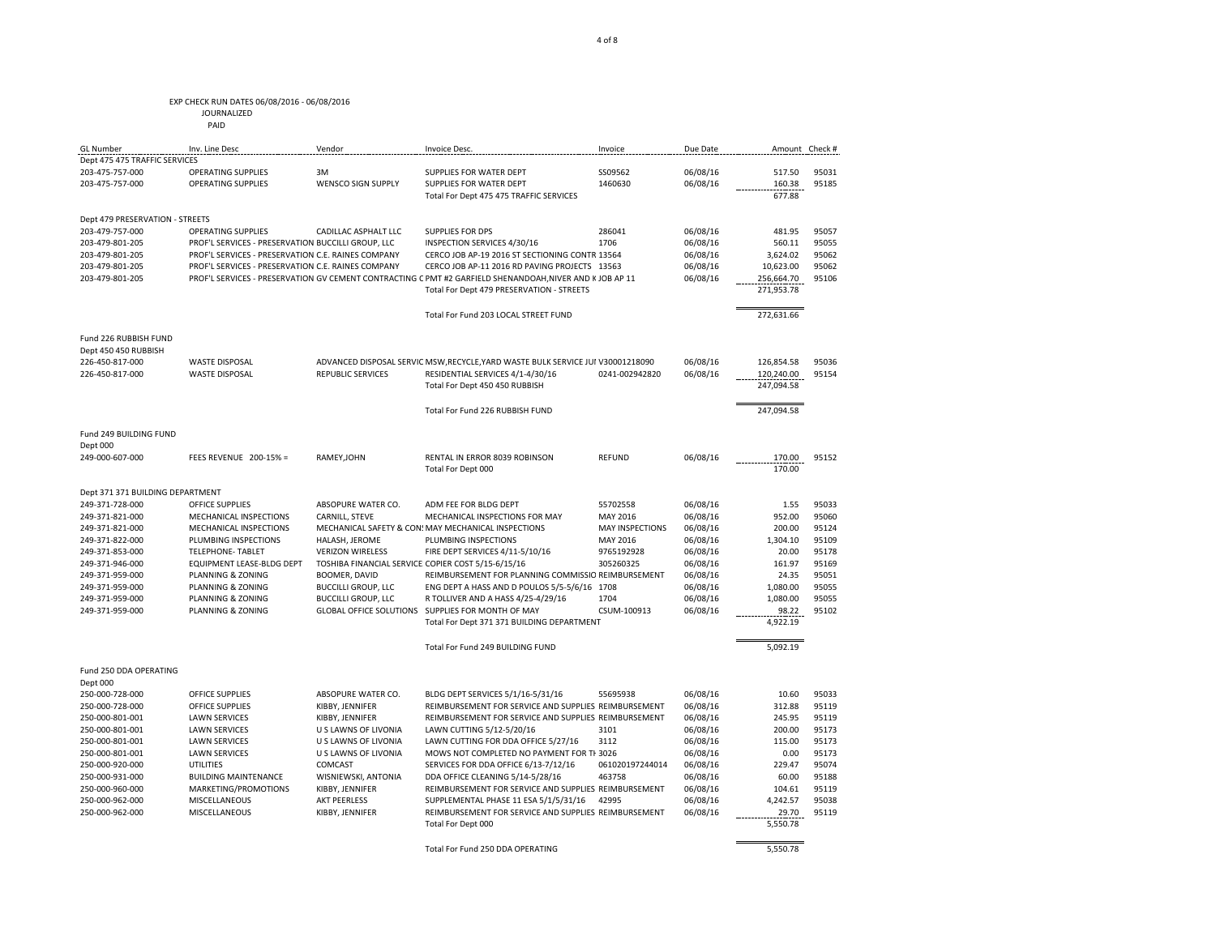PAID

Dept 475 475 TRAFFIC SERVICES<br>203-475-757-000 OP

Dept 479 PRESERVATION - STREETS

Fund 226 RUBBISH FUND Dept 450 450 RUBBISH

Fund 249 BUILDING FUND

Fund 250 DDA OPERATING

Dept 000

Dept 371 371 BUILDING DEPARTMENT

Dept 000

| JOURNALIZED |
|-------------|
|             |

GL Number Inv. Line Desc Vendor Invoice Desc. Invoice Due Date Amount Check #

203-475-757-000 OPERATING SUPPLIES WENSCO SIGN SUPPLY SUPPLIES FOR WATER DEPT 1460630 06/08/16 160.38 95185

203-479-757-000 OPERATING SUPPLIES CADILLAC ASPHALT LLC SUPPLIES FOR DPS 286041 06/08/16 481.95 95057 203-479-801-205 PROF'L SERVICES - PRESERVATION BUCCILLI GROUP, LLC INSPECTION SERVICES 4/30/16 1706 06/08/16 560.11 95055 203-479-801-205 PROF'L SERVICES - PRESERVATION C.E. RAINES COMPANY CERCO JOB AP-19 2016 ST SECTIONING CONTR 13564 06/08/16 3,624.02 95062 203-479-801-205 PROF'L SERVICES - PRESERVATION C.E. RAINES COMPANY CERCO JOB AP-11 2016 RD PAVING PROJECTS 13563 06/08/16 10,623.00 95062 203-479-801-205 PROF'L SERVICES - PRESERVATION GV CEMENT CONTRACTING C PMT #2 GARFIELD SHENANDOAH,NIVER AND KJOB AP 11 06/08/16 256,664.70 95106

226-450-817-000 WASTE DISPOSAL ADVANCED DISPOSAL SERVIC MSW,RECYCLE,YARD WASTE BULK SERVICE JUI V30001218090 06/08/16 126,854.58 95036<br>226-450-817-000 WASTE DISPOSAL REPUBLIC SERVICES RESIDENTIAL SERVICES 4/1-4/30/16 0241-

249-000-607-000 FEES REVENUE 200-15% = RAMEY,JOHN RENTAL IN ERROR 8039 ROBINSON REFUND 06/08/16 170.00 95152 Total For Dept 000

249-371-728-000 OFFICE SUPPLIES ABSOPURE WATER CO. ADM FEE FOR BLDG DEPT 55702558 06/08/16 1.55 95033<br>249-371-821-000 MECHANICAL INSPECTIONS CARNILL, STEVE MECHANICAL INSPECTIONS FOR MAY MAY 2016 06/08/16 952.00 95060

249-371-821-000 MECHANICAL INSPECTIONS MECHANICAL SAFETY & CON: MAY MECHANICAL INSPECTIONS MAY INSPECTIONS 06/08/16 200.00 95124 249-371-822-000 PLUMBING INSPECTIONS HALASH, JEROME PLUMBING INSPECTIONS MAY 2016 06/08/16 1,304.10 95109 249-371-853-000 TELEPHONE- TABLET VERIZON WIRELESS FIRE DEPT SERVICES 4/11-5/10/16 9765192928 06/08/16 20.00 95178 249-371-946-000 EQUIPMENT LEASE-BLDG DEPT TOSHIBA FINANCIAL SERVICE COPIER COST 5/15-6/15/16 305260325 06/08/16 161.97 95169 249-371-959-000 PLANNING & ZONING BOOMER, DAVID REIMBURSEMENT FOR PLANNING COMMISSIO REIMBURSEMENT 06/08/16 24.35 95051 249-371-959-000 PLANNING & ZONING BUCCILLI GROUP, LLC ENG DEPT A HASS AND D POULOS 5/5-5/6/16 1708 06/08/16 1,080.00 95055 249-371-959-000 PLANNING & ZONING BUCCILLI GROUP, LLC R TOLLIVER AND A HASS 4/25-4/29/16 1704 06/08/16 1,080.00 95055 249-371-959-000 PLANNING & ZONING GLOBAL OFFICE SOLUTIONS SUPPLIES FOR MONTH OF MAY CSUM-100913 06/08/16 98.22 95102

250-000-728-000 OFFICE SUPPLIES ABSOPURE WATER CO. BLDG DEPT SERVICES 5/1/16-5/31/16 55695938 06/08/16 10.60 95033 250-000-728-000 OFFICE SUPPLIES KIBBY, JENNIFER REIMBURSEMENT FOR SERVICE AND SUPPLIES REIMBURSEMENT 06/08/16 312.88 95119 250-000-801-001 LAWN SERVICES KIBBY, JENNIFER REIMBURSEMENT FOR SERVICE AND SUPPLIES REIMBURSEMENT 06/08/16 245.95 95119 250-000-801-001 LAWN SERVICES U S LAWNS OF LIVONIA LAWN CUTTING 5/12-5/20/16 3101 06/08/16 200.00 95173 250-000-801-001 LAWN SERVICES U S LAWNS OF LIVONIA LAWN CUTTING FOR DDA OFFICE 5/27/16 3112 06/08/16 115.00 95173 250-000-801-001 LAWN SERVICES U S LAWNS OF LIVONIA MOWS NOT COMPLETED NO PAYMENT FOR THIS INV 3026 06/08/16 0.00 95173

250-000-931-000 BUILDING MAINTENANCE WISNIEWSKI, ANTONIA DDA OFFICE CLEANING 5/14-5/28/16 463758 06/08/16 60.00 95188 250-000-960-000 MARKETING/PROMOTIONS KIBBY, JENNIFER REIMBURSEMENT FOR SERVICE AND SUPPLIES REIMBURSEMENT 06/08/16 104.61 95119 250-000-962-000 MISCELLANEOUS AKT PEERLESS SUPPLEMENTAL PHASE 11 ESA 5/1/5/31/16 42995 06/08/16 4,242.57 95038<br>250-000-962-000 MISCELLANEOUS KIBBY, JENNIFER REIMBURSEMENT FOR SERVICE AND SUPPLIES REIMBURSEMENT 06/08/16 29. 250-000-962-000 MISCELLANEOUS KIBBY, JENNIFER REIMBURSEMENT FOR SERVICE AND SUPPLIES REIMBURSEMENT 06/08/16 20.70 95119 Total For Dept 000

SERVICES FOR DDA OFFICE 6/13-7/12/16

RESIDENTIAL SERVICES 4/1-4/30/16

203-475-757-000 OPERATING SUPPLIES 3M SUPPLIES FOR WATER DEPT SS09562 06/08/16 517.50 95031

4 of 8

Total For Dept 475 475 TRAFFIC SERVICES 677.88

Total For Dept 479 PRESERVATION - STREETS 271,953.78 Total For Fund 203 LOCAL STREET FUND 272,631.66

Total For Dept 450 450 RUBBISH 247,094.58 Total For Fund 226 RUBBISH FUND 247,094.58

Total For Dept 371 371 BUILDING DEPARTMENT And the control of the 4,922.19 Total For Fund 249 BUILDING FUND 5,092.19

Total For Fund 250 DDA OPERATING 5,550.78

CARNILL, STEVE MECHANICAL INSPECTIONS FOR MAY MAY 2016 06/08/16 952.00 95060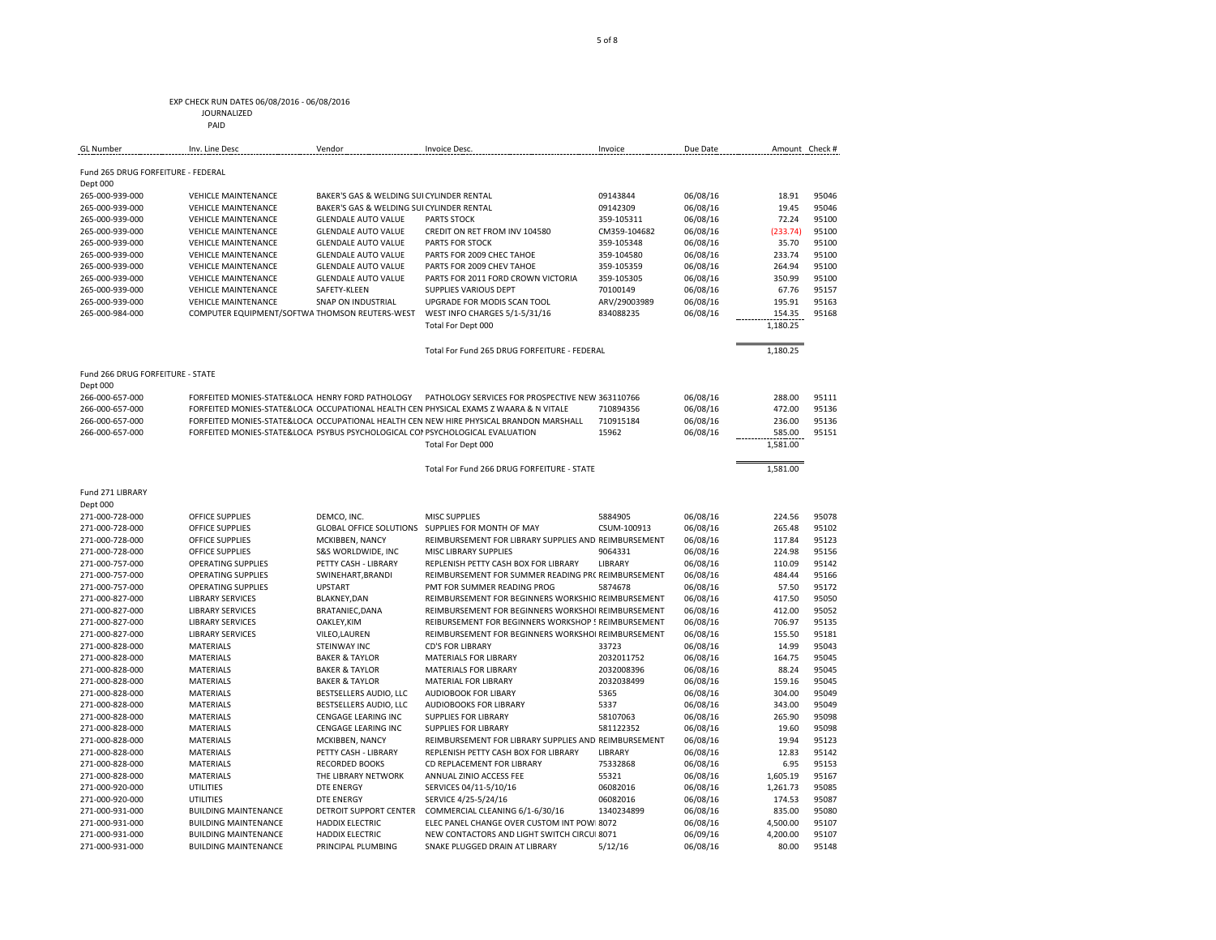#### EXP CHECK RUN DATES 06/08/2016 - 06/08/2016 JOURNALIZED

|                                    | PAID                       |                                                                                |                                                                                         |              |          |                |       |
|------------------------------------|----------------------------|--------------------------------------------------------------------------------|-----------------------------------------------------------------------------------------|--------------|----------|----------------|-------|
| <b>GL Number</b>                   | Inv. Line Desc             | Vendor                                                                         | Invoice Desc.                                                                           | Invoice      | Due Date | Amount Check # |       |
| Fund 265 DRUG FORFEITURE - FEDERAL |                            |                                                                                |                                                                                         |              |          |                |       |
| Dept 000                           |                            |                                                                                |                                                                                         |              |          |                |       |
| 265-000-939-000                    | <b>VEHICLE MAINTENANCE</b> | BAKER'S GAS & WELDING SUI CYLINDER RENTAL                                      |                                                                                         | 09143844     | 06/08/16 | 18.91          | 95046 |
| 265-000-939-000                    | <b>VEHICLE MAINTENANCE</b> | BAKER'S GAS & WELDING SUI CYLINDER RENTAL                                      |                                                                                         | 09142309     | 06/08/16 | 19.45          | 95046 |
| 265-000-939-000                    | <b>VEHICLE MAINTENANCE</b> | <b>GLENDALE AUTO VALUE</b>                                                     | PARTS STOCK                                                                             | 359-105311   | 06/08/16 | 72.24          | 95100 |
| 265-000-939-000                    | <b>VEHICLE MAINTENANCE</b> | <b>GLENDALE AUTO VALUE</b>                                                     | CREDIT ON RET FROM INV 104580                                                           | CM359-104682 | 06/08/16 | (233.74)       | 95100 |
| 265-000-939-000                    | <b>VEHICLE MAINTENANCE</b> | <b>GLENDALE AUTO VALUE</b>                                                     | <b>PARTS FOR STOCK</b>                                                                  | 359-105348   | 06/08/16 | 35.70          | 95100 |
| 265-000-939-000                    | <b>VEHICLE MAINTENANCE</b> | <b>GLENDALE AUTO VALUE</b>                                                     | PARTS FOR 2009 CHEC TAHOE                                                               | 359-104580   | 06/08/16 | 233.74         | 95100 |
| 265-000-939-000                    | <b>VEHICLE MAINTENANCE</b> | <b>GLENDALE AUTO VALUE</b>                                                     | PARTS FOR 2009 CHEV TAHOE                                                               | 359-105359   | 06/08/16 | 264.94         | 95100 |
| 265-000-939-000                    | <b>VEHICLE MAINTENANCE</b> | <b>GLENDALE AUTO VALUE</b>                                                     | PARTS FOR 2011 FORD CROWN VICTORIA                                                      | 359-105305   | 06/08/16 | 350.99         | 95100 |
| 265-000-939-000                    | <b>VEHICLE MAINTENANCE</b> | SAFETY-KLEEN                                                                   | SUPPLIES VARIOUS DEPT                                                                   | 70100149     | 06/08/16 | 67.76          | 95157 |
| 265-000-939-000                    | <b>VEHICLE MAINTENANCE</b> | <b>SNAP ON INDUSTRIAL</b>                                                      | UPGRADE FOR MODIS SCAN TOOL                                                             | ARV/29003989 | 06/08/16 | 195.91         | 95163 |
| 265-000-984-000                    |                            | COMPUTER EQUIPMENT/SOFTWA THOMSON REUTERS-WEST                                 | WEST INFO CHARGES 5/1-5/31/16                                                           | 834088235    | 06/08/16 | 154.35         | 95168 |
|                                    |                            |                                                                                | Total For Dept 000                                                                      |              |          | 1,180.25       |       |
|                                    |                            |                                                                                | Total For Fund 265 DRUG FORFEITURE - FEDERAL                                            |              |          | 1,180.25       |       |
| Fund 266 DRUG FORFEITURE - STATE   |                            |                                                                                |                                                                                         |              |          |                |       |
| Dept 000                           |                            |                                                                                |                                                                                         |              |          |                |       |
| 266-000-657-000                    |                            | FORFEITED MONIES-STATE&LOCAL HENRY FORD PATHOLOGY                              | PATHOLOGY SERVICES FOR PROSPECTIVE NEW 363110766                                        |              | 06/08/16 | 288.00         | 95111 |
| 266-000-657-000                    |                            |                                                                                | FORFEITED MONIES-STATE&LOCAI OCCUPATIONAL HEALTH CEN PHYSICAL EXAMS Z WAARA & N VITALE  | 710894356    | 06/08/16 | 472.00         | 95136 |
| 266-000-657-000                    |                            |                                                                                | FORFEITED MONIES-STATE&LOCAL OCCUPATIONAL HEALTH CEN NEW HIRE PHYSICAL BRANDON MARSHALL | 710915184    | 06/08/16 | 236.00         | 95136 |
| 266-000-657-000                    |                            | FORFEITED MONIES-STATE&LOCAL PSYBUS PSYCHOLOGICAL COI PSYCHOLOGICAL EVALUATION |                                                                                         | 15962        | 06/08/16 | 585.00         | 95151 |
|                                    |                            |                                                                                | Total For Dept 000                                                                      |              |          | 1,581.00       |       |
|                                    |                            |                                                                                | Total For Fund 266 DRUG FORFEITURE - STATE                                              |              |          | 1,581.00       |       |
| Fund 271 LIBRARY                   |                            |                                                                                |                                                                                         |              |          |                |       |
| Dept 000                           |                            |                                                                                |                                                                                         |              |          |                |       |
| 271-000-728-000                    | <b>OFFICE SUPPLIES</b>     | DEMCO, INC.                                                                    | MISC SUPPLIES                                                                           | 5884905      | 06/08/16 | 224.56         | 95078 |
| 271-000-728-000                    | <b>OFFICE SUPPLIES</b>     | <b>GLOBAL OFFICE SOLUTIONS</b>                                                 | SUPPLIES FOR MONTH OF MAY                                                               | CSUM-100913  | 06/08/16 | 265.48         | 95102 |

| 271-000-728-000 | <b>OFFICE SUPPLIES</b>      |                               | GLOBAL OFFICE SOLUTIONS SUPPLIES FOR MONTH OF MAY    | CSUM-100913    | 06/08/16 | 265.48   | 95102 |
|-----------------|-----------------------------|-------------------------------|------------------------------------------------------|----------------|----------|----------|-------|
| 271-000-728-000 | <b>OFFICE SUPPLIES</b>      | MCKIBBEN, NANCY               | REIMBURSEMENT FOR LIBRARY SUPPLIES AND REIMBURSEMENT |                | 06/08/16 | 117.84   | 95123 |
| 271-000-728-000 | <b>OFFICE SUPPLIES</b>      | <b>S&amp;S WORLDWIDE. INC</b> | MISC LIBRARY SUPPLIES                                | 9064331        | 06/08/16 | 224.98   | 95156 |
| 271-000-757-000 | <b>OPERATING SUPPLIES</b>   | PETTY CASH - LIBRARY          | REPLENISH PETTY CASH BOX FOR LIBRARY                 | <b>LIBRARY</b> | 06/08/16 | 110.09   | 95142 |
| 271-000-757-000 | <b>OPERATING SUPPLIES</b>   | SWINEHART, BRANDI             | REIMBURSEMENT FOR SUMMER READING PRC REIMBURSEMENT   |                | 06/08/16 | 484.44   | 95166 |
| 271-000-757-000 | <b>OPERATING SUPPLIES</b>   | <b>UPSTART</b>                | PMT FOR SUMMER READING PROG                          | 5874678        | 06/08/16 | 57.50    | 95172 |
| 271-000-827-000 | <b>LIBRARY SERVICES</b>     | BLAKNEY.DAN                   | REIMBURSEMENT FOR BEGINNERS WORKSHIO REIMBURSEMENT   |                | 06/08/16 | 417.50   | 95050 |
| 271-000-827-000 | <b>LIBRARY SERVICES</b>     | BRATANIEC, DANA               | REIMBURSEMENT FOR BEGINNERS WORKSHOI REIMBURSEMENT   |                | 06/08/16 | 412.00   | 95052 |
| 271-000-827-000 | <b>LIBRARY SERVICES</b>     | OAKLEY.KIM                    | REIBURSEMENT FOR BEGINNERS WORKSHOP 5 REIMBURSEMENT  |                | 06/08/16 | 706.97   | 95135 |
| 271-000-827-000 | <b>LIBRARY SERVICES</b>     | VILEO, LAUREN                 | REIMBURSEMENT FOR BEGINNERS WORKSHOI REIMBURSEMENT   |                | 06/08/16 | 155.50   | 95181 |
| 271-000-828-000 | <b>MATERIALS</b>            | STEINWAY INC                  | <b>CD'S FOR LIBRARY</b>                              | 33723          | 06/08/16 | 14.99    | 95043 |
| 271-000-828-000 | <b>MATERIALS</b>            | <b>BAKER &amp; TAYLOR</b>     | <b>MATERIALS FOR LIBRARY</b>                         | 2032011752     | 06/08/16 | 164.75   | 95045 |
| 271-000-828-000 | <b>MATERIALS</b>            | <b>BAKER &amp; TAYLOR</b>     | <b>MATERIALS FOR LIBRARY</b>                         | 2032008396     | 06/08/16 | 88.24    | 95045 |
| 271-000-828-000 | <b>MATERIALS</b>            | <b>BAKER &amp; TAYLOR</b>     | <b>MATERIAL FOR LIBRARY</b>                          | 2032038499     | 06/08/16 | 159.16   | 95045 |
| 271-000-828-000 | <b>MATERIALS</b>            | BESTSELLERS AUDIO, LLC        | AUDIOBOOK FOR LIBARY                                 | 5365           | 06/08/16 | 304.00   | 95049 |
| 271-000-828-000 | <b>MATERIALS</b>            | BESTSELLERS AUDIO. LLC        | AUDIOBOOKS FOR LIBRARY                               | 5337           | 06/08/16 | 343.00   | 95049 |
| 271-000-828-000 | <b>MATERIALS</b>            | CENGAGE LEARING INC           | <b>SUPPLIES FOR LIBRARY</b>                          | 58107063       | 06/08/16 | 265.90   | 95098 |
| 271-000-828-000 | <b>MATERIALS</b>            | CENGAGE LEARING INC           | <b>SUPPLIES FOR LIBRARY</b>                          | 581122352      | 06/08/16 | 19.60    | 95098 |
| 271-000-828-000 | <b>MATERIALS</b>            | MCKIBBEN, NANCY               | REIMBURSEMENT FOR LIBRARY SUPPLIES AND REIMBURSEMENT |                | 06/08/16 | 19.94    | 95123 |
| 271-000-828-000 | <b>MATERIALS</b>            | PETTY CASH - LIBRARY          | REPLENISH PETTY CASH BOX FOR LIBRARY                 | <b>LIBRARY</b> | 06/08/16 | 12.83    | 95142 |
| 271-000-828-000 | <b>MATERIALS</b>            | <b>RECORDED BOOKS</b>         | CD REPLACEMENT FOR LIBRARY                           | 75332868       | 06/08/16 | 6.95     | 95153 |
| 271-000-828-000 | <b>MATERIALS</b>            | THE LIBRARY NETWORK           | ANNUAL ZINIO ACCESS FEE                              | 55321          | 06/08/16 | 1,605.19 | 95167 |
| 271-000-920-000 | <b>UTILITIES</b>            | DTE ENERGY                    | SERVICES 04/11-5/10/16                               | 06082016       | 06/08/16 | 1,261.73 | 95085 |
| 271-000-920-000 | <b>UTILITIES</b>            | <b>DTE ENERGY</b>             | SERVICE 4/25-5/24/16                                 | 06082016       | 06/08/16 | 174.53   | 95087 |
| 271-000-931-000 | <b>BUILDING MAINTENANCE</b> | <b>DETROIT SUPPORT CENTER</b> | COMMERCIAL CLEANING 6/1-6/30/16                      | 1340234899     | 06/08/16 | 835.00   | 95080 |
| 271-000-931-000 | <b>BUILDING MAINTENANCE</b> | <b>HADDIX ELECTRIC</b>        | ELEC PANEL CHANGE OVER CUSTOM INT POWI 8072          |                | 06/08/16 | 4,500.00 | 95107 |
| 271-000-931-000 | <b>BUILDING MAINTENANCE</b> | <b>HADDIX ELECTRIC</b>        | NEW CONTACTORS AND LIGHT SWITCH CIRCUI 8071          |                | 06/09/16 | 4.200.00 | 95107 |
| 271-000-931-000 | <b>BUILDING MAINTENANCE</b> | PRINCIPAL PLUMBING            | SNAKE PLUGGED DRAIN AT LIBRARY                       | 5/12/16        | 06/08/16 | 80.00    | 95148 |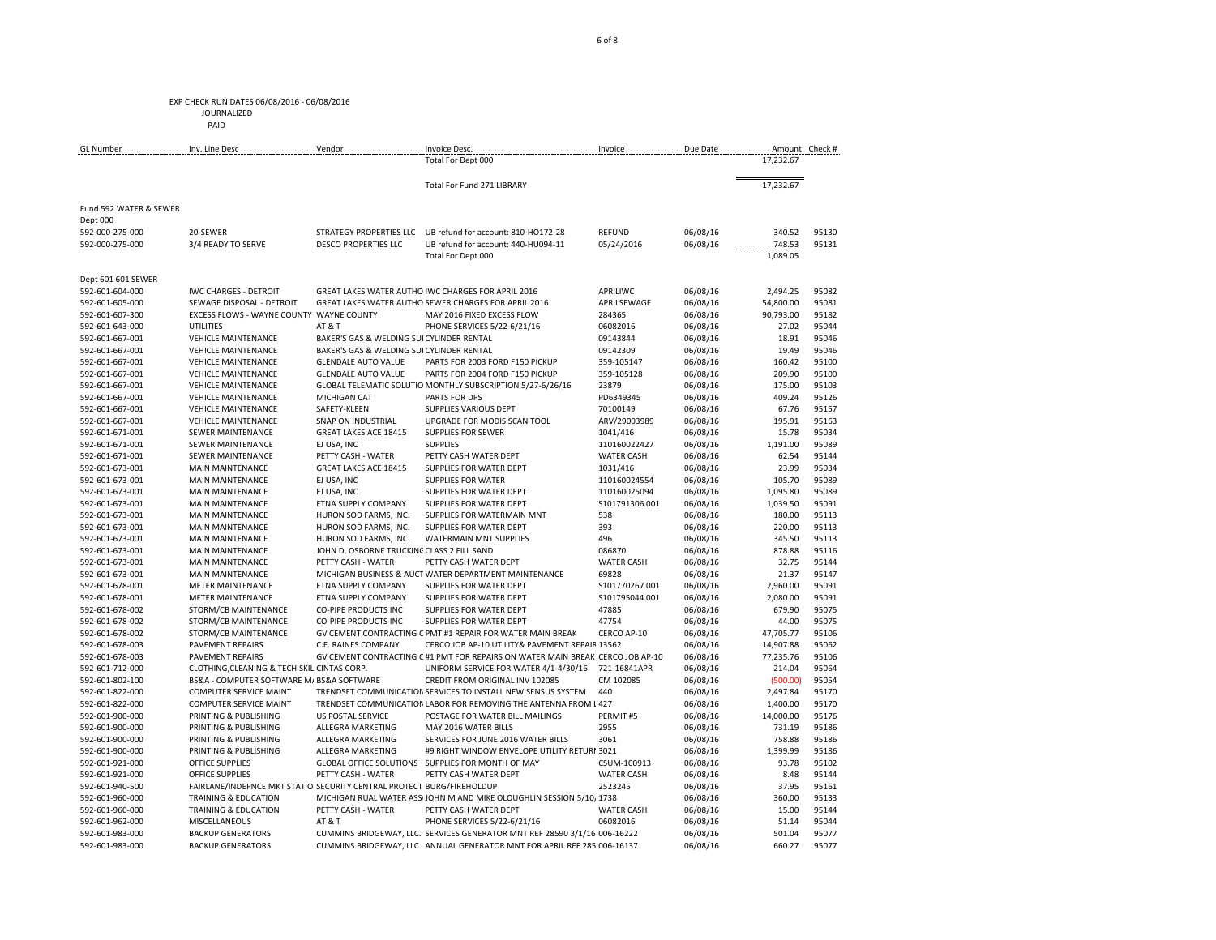JOURNALIZED PAID

| <b>GL Number</b>            | Inv. Line Desc                                                        | Vendor                                     | Invoice Desc.                                                                  | Invoice           | Due Date             |           | Amount Check # |
|-----------------------------|-----------------------------------------------------------------------|--------------------------------------------|--------------------------------------------------------------------------------|-------------------|----------------------|-----------|----------------|
|                             |                                                                       |                                            | Total For Dept 000                                                             |                   |                      | 17,232.67 |                |
|                             |                                                                       |                                            | Total For Fund 271 LIBRARY                                                     |                   |                      | 17,232.67 |                |
| Fund 592 WATER & SEWER      |                                                                       |                                            |                                                                                |                   |                      |           |                |
| Dept 000<br>592-000-275-000 | 20-SEWER                                                              |                                            | STRATEGY PROPERTIES LLC UB refund for account: 810-HO172-28                    | REFUND            |                      | 340.52    | 95130          |
| 592-000-275-000             | 3/4 READY TO SERVE                                                    | <b>DESCO PROPERTIES LLC</b>                | UB refund for account: 440-HU094-11                                            | 05/24/2016        | 06/08/16<br>06/08/16 | 748.53    | 95131          |
|                             |                                                                       |                                            | Total For Dept 000                                                             |                   |                      | 1,089.05  |                |
| Dept 601 601 SEWER          |                                                                       |                                            |                                                                                |                   |                      |           |                |
| 592-601-604-000             | <b>IWC CHARGES - DETROIT</b>                                          |                                            | GREAT LAKES WATER AUTHO IWC CHARGES FOR APRIL 2016                             | APRILIWC          | 06/08/16             | 2,494.25  | 95082          |
| 592-601-605-000             | SEWAGE DISPOSAL - DETROIT                                             |                                            | GREAT LAKES WATER AUTHO SEWER CHARGES FOR APRIL 2016                           | APRILSEWAGE       | 06/08/16             | 54,800.00 | 95081          |
| 592-601-607-300             | EXCESS FLOWS - WAYNE COUNTY WAYNE COUNTY                              |                                            | MAY 2016 FIXED EXCESS FLOW                                                     | 284365            | 06/08/16             | 90,793.00 | 95182          |
| 592-601-643-000             | <b>UTILITIES</b>                                                      | AT&T                                       | PHONE SERVICES 5/22-6/21/16                                                    | 06082016          | 06/08/16             | 27.02     | 95044          |
| 592-601-667-001             | <b>VEHICLE MAINTENANCE</b>                                            | BAKER'S GAS & WELDING SUI CYLINDER RENTAL  |                                                                                | 09143844          | 06/08/16             | 18.91     | 95046          |
| 592-601-667-001             | <b>VEHICLE MAINTENANCE</b>                                            | BAKER'S GAS & WELDING SUI CYLINDER RENTAL  |                                                                                | 09142309          | 06/08/16             | 19.49     | 95046          |
| 592-601-667-001             | <b>VEHICLE MAINTENANCE</b>                                            | <b>GLENDALE AUTO VALUE</b>                 | PARTS FOR 2003 FORD F150 PICKUP                                                | 359-105147        | 06/08/16             | 160.42    | 95100          |
| 592-601-667-001             | <b>VEHICLE MAINTENANCE</b>                                            | <b>GLENDALE AUTO VALUE</b>                 | PARTS FOR 2004 FORD F150 PICKUP                                                | 359-105128        | 06/08/16             | 209.90    | 95100          |
| 592-601-667-001             | <b>VEHICLE MAINTENANCE</b>                                            |                                            | GLOBAL TELEMATIC SOLUTIO MONTHLY SUBSCRIPTION 5/27-6/26/16                     | 23879             | 06/08/16             | 175.00    | 95103          |
| 592-601-667-001             | <b>VEHICLE MAINTENANCE</b>                                            | MICHIGAN CAT                               | PARTS FOR DPS                                                                  | PD6349345         | 06/08/16             | 409.24    | 95126          |
| 592-601-667-001             | <b>VEHICLE MAINTENANCE</b>                                            | SAFETY-KLEEN                               | SUPPLIES VARIOUS DEPT                                                          | 70100149          | 06/08/16             | 67.76     | 95157          |
| 592-601-667-001             | <b>VEHICLE MAINTENANCE</b>                                            | SNAP ON INDUSTRIAL                         | UPGRADE FOR MODIS SCAN TOOL                                                    | ARV/29003989      | 06/08/16             | 195.91    | 95163          |
| 592-601-671-001             | <b>SEWER MAINTENANCE</b>                                              | GREAT LAKES ACE 18415                      | <b>SUPPLIES FOR SEWER</b>                                                      | 1041/416          | 06/08/16             | 15.78     | 95034          |
| 592-601-671-001             | <b>SEWER MAINTENANCE</b>                                              | EJ USA, INC                                | <b>SUPPLIES</b>                                                                | 110160022427      | 06/08/16             | 1.191.00  | 95089          |
| 592-601-671-001             | <b>SEWER MAINTENANCE</b>                                              | PETTY CASH - WATER                         | PETTY CASH WATER DEPT                                                          | <b>WATER CASH</b> | 06/08/16             | 62.54     | 95144          |
| 592-601-673-001             | <b>MAIN MAINTENANCE</b>                                               | GREAT LAKES ACE 18415                      | SUPPLIES FOR WATER DEPT                                                        | 1031/416          | 06/08/16             | 23.99     | 95034          |
| 592-601-673-001             | <b>MAIN MAINTENANCE</b>                                               | EJ USA, INC                                | <b>SUPPLIES FOR WATER</b>                                                      | 110160024554      | 06/08/16             | 105.70    | 95089          |
| 592-601-673-001             | <b>MAIN MAINTENANCE</b>                                               | EJ USA, INC                                | SUPPLIES FOR WATER DEPT                                                        | 110160025094      | 06/08/16             | 1,095.80  | 95089          |
| 592-601-673-001             | <b>MAIN MAINTENANCE</b>                                               | ETNA SUPPLY COMPANY                        | SUPPLIES FOR WATER DEPT                                                        | \$101791306.001   | 06/08/16             | 1,039.50  | 95091          |
| 592-601-673-001             | MAIN MAINTENANCE                                                      | HURON SOD FARMS, INC.                      | SUPPLIES FOR WATERMAIN MNT                                                     | 538               | 06/08/16             | 180.00    | 95113          |
| 592-601-673-001             | MAIN MAINTENANCE                                                      | HURON SOD FARMS, INC.                      | SUPPLIES FOR WATER DEPT                                                        | 393               | 06/08/16             | 220.00    | 95113          |
| 592-601-673-001             | MAIN MAINTENANCE                                                      | HURON SOD FARMS, INC.                      | <b>WATERMAIN MNT SUPPLIES</b>                                                  | 496               | 06/08/16             | 345.50    | 95113          |
| 592-601-673-001             | <b>MAIN MAINTENANCE</b>                                               | JOHN D. OSBORNE TRUCKING CLASS 2 FILL SAND |                                                                                | 086870            | 06/08/16             | 878.88    | 95116          |
| 592-601-673-001             | MAIN MAINTENANCE                                                      | PETTY CASH - WATER                         | PETTY CASH WATER DEPT                                                          | <b>WATER CASH</b> | 06/08/16             | 32.75     | 95144          |
| 592-601-673-001             | <b>MAIN MAINTENANCE</b>                                               |                                            | MICHIGAN BUSINESS & AUCT WATER DEPARTMENT MAINTENANCE                          | 69828             | 06/08/16             | 21.37     | 95147          |
| 592-601-678-001             | <b>METER MAINTENANCE</b>                                              | ETNA SUPPLY COMPANY                        | SUPPLIES FOR WATER DEPT                                                        | \$101770267.001   | 06/08/16             | 2,960.00  | 95091          |
| 592-601-678-001             | <b>METER MAINTENANCE</b>                                              | ETNA SUPPLY COMPANY                        | SUPPLIES FOR WATER DEPT                                                        | \$101795044.001   | 06/08/16             | 2,080.00  | 95091          |
| 592-601-678-002             | STORM/CB MAINTENANCE                                                  | <b>CO-PIPE PRODUCTS INC</b>                | SUPPLIES FOR WATER DEPT                                                        | 47885             | 06/08/16             | 679.90    | 95075          |
| 592-601-678-002             | STORM/CB MAINTENANCE                                                  | <b>CO-PIPE PRODUCTS INC</b>                | SUPPLIES FOR WATER DEPT                                                        | 47754             | 06/08/16             | 44.00     | 95075          |
| 592-601-678-002             | STORM/CB MAINTENANCE                                                  |                                            | GV CEMENT CONTRACTING C PMT #1 REPAIR FOR WATER MAIN BREAK                     | CERCO AP-10       | 06/08/16             | 47,705.77 | 95106          |
| 592-601-678-003             | <b>PAVEMENT REPAIRS</b>                                               | C.E. RAINES COMPANY                        | CERCO JOB AP-10 UTILITY& PAVEMENT REPAIR 13562                                 |                   | 06/08/16             | 14,907.88 | 95062          |
| 592-601-678-003             | <b>PAVEMENT REPAIRS</b>                                               |                                            | GV CEMENT CONTRACTING C #1 PMT FOR REPAIRS ON WATER MAIN BREAK CERCO JOB AP-10 |                   | 06/08/16             | 77.235.76 | 95106          |
| 592-601-712-000             | CLOTHING, CLEANING & TECH SKIL CINTAS CORP.                           |                                            | UNIFORM SERVICE FOR WATER 4/1-4/30/16                                          | 721-16841APR      | 06/08/16             | 214.04    | 95064          |
| 592-601-802-100             | BS&A - COMPUTER SOFTWARE M/ BS&A SOFTWARE                             |                                            | CREDIT FROM ORIGINAL INV 102085                                                | CM 102085         | 06/08/16             | (500.00)  | 95054          |
| 592-601-822-000             | <b>COMPUTER SERVICE MAINT</b>                                         |                                            | TRENDSET COMMUNICATION SERVICES TO INSTALL NEW SENSUS SYSTEM                   | 440               | 06/08/16             | 2,497.84  | 95170          |
| 592-601-822-000             | <b>COMPUTER SERVICE MAINT</b>                                         |                                            | TRENDSET COMMUNICATION LABOR FOR REMOVING THE ANTENNA FROM L 427               |                   | 06/08/16             | 1,400.00  | 95170          |
| 592-601-900-000             | PRINTING & PUBLISHING                                                 | <b>US POSTAL SERVICE</b>                   | POSTAGE FOR WATER BILL MAILINGS                                                | PERMIT#5          | 06/08/16             | 14,000.00 | 95176          |
| 592-601-900-000             | PRINTING & PUBLISHING                                                 | ALLEGRA MARKETING                          | MAY 2016 WATER BILLS                                                           | 2955              | 06/08/16             | 731.19    | 95186          |
| 592-601-900-000             | PRINTING & PUBLISHING                                                 | ALLEGRA MARKETING                          | SERVICES FOR JUNE 2016 WATER BILLS                                             | 3061              | 06/08/16             | 758.88    | 95186          |
| 592-601-900-000             | PRINTING & PUBLISHING                                                 | ALLEGRA MARKETING                          | #9 RIGHT WINDOW ENVELOPE UTILITY RETURI 3021                                   |                   | 06/08/16             | 1,399.99  | 95186          |
| 592-601-921-000             | <b>OFFICE SUPPLIES</b>                                                |                                            | GLOBAL OFFICE SOLUTIONS SUPPLIES FOR MONTH OF MAY                              | CSUM-100913       | 06/08/16             | 93.78     | 95102          |
| 592-601-921-000             | <b>OFFICE SUPPLIES</b>                                                | PETTY CASH - WATER                         | PETTY CASH WATER DEPT                                                          | <b>WATER CASH</b> | 06/08/16             | 8.48      | 95144          |
| 592-601-940-500             | FAIRLANE/INDEPNCE MKT STATIO SECURITY CENTRAL PROTECT BURG/FIREHOLDUP |                                            |                                                                                | 2523245           | 06/08/16             | 37.95     | 95161          |
| 592-601-960-000             | <b>TRAINING &amp; EDUCATION</b>                                       |                                            | MICHIGAN RUAL WATER ASS JOHN M AND MIKE OLOUGHLIN SESSION 5/10, 1738           |                   | 06/08/16             | 360.00    | 95133          |
| 592-601-960-000             | <b>TRAINING &amp; EDUCATION</b>                                       | PETTY CASH - WATER                         | PETTY CASH WATER DEPT                                                          | <b>WATER CASH</b> | 06/08/16             | 15.00     | 95144          |
| 592-601-962-000             | MISCELLANEOUS                                                         | AT&T                                       | PHONE SERVICES 5/22-6/21/16                                                    | 06082016          | 06/08/16             | 51.14     | 95044          |
| 592-601-983-000             | <b>BACKUP GENERATORS</b>                                              |                                            | CUMMINS BRIDGEWAY, LLC. SERVICES GENERATOR MNT REF 28590 3/1/16 006-16222      |                   | 06/08/16             | 501.04    | 95077          |
| 592-601-983-000             | <b>BACKUP GENERATORS</b>                                              |                                            | CUMMINS BRIDGEWAY, LLC. ANNUAL GENERATOR MNT FOR APRIL REF 285 006-16137       |                   | 06/08/16             | 660.27    | 95077          |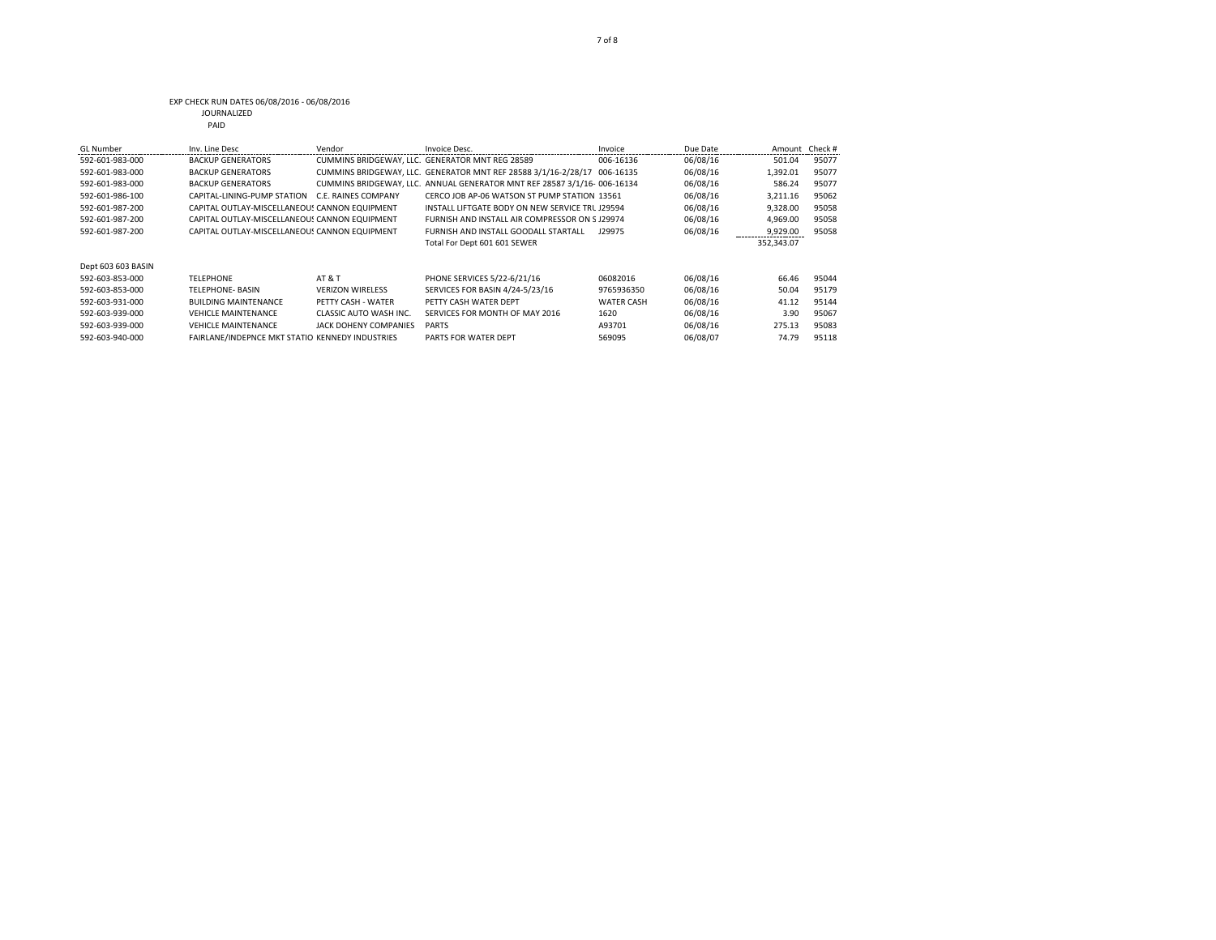#### EXP CHECK RUN DATES 06/08/2016 - 06/08/2016 JOURNALIZED

| w<br>۰. | $\sim$ |    |  |
|---------|--------|----|--|
|         |        | ۰. |  |

| <b>GL</b> Number   | Inv. Line Desc                                  | Vendor                  | Invoice Desc.                                                            | Invoice           | Due Date | Amount Check# |       |
|--------------------|-------------------------------------------------|-------------------------|--------------------------------------------------------------------------|-------------------|----------|---------------|-------|
| 592-601-983-000    | <b>BACKUP GENERATORS</b>                        |                         | CUMMINS BRIDGEWAY, LLC. GENERATOR MNT REG 28589                          | 006-16136         | 06/08/16 | 501.04        | 95077 |
| 592-601-983-000    | <b>BACKUP GENERATORS</b>                        |                         | CUMMINS BRIDGEWAY, LLC. GENERATOR MNT REF 28588 3/1/16-2/28/17 006-16135 |                   | 06/08/16 | 1,392.01      | 95077 |
| 592-601-983-000    | <b>BACKUP GENERATORS</b>                        |                         | CUMMINS BRIDGEWAY, LLC. ANNUAL GENERATOR MNT REF 28587 3/1/16- 006-16134 |                   | 06/08/16 | 586.24        | 95077 |
| 592-601-986-100    | CAPITAL-LINING-PUMP STATION                     | C.F. RAINES COMPANY     | CERCO JOB AP-06 WATSON ST PUMP STATION 13561                             |                   | 06/08/16 | 3,211.16      | 95062 |
| 592-601-987-200    | CAPITAL OUTLAY-MISCELLANEOUS CANNON EQUIPMENT   |                         | INSTALL LIFTGATE BODY ON NEW SERVICE TRL J29594                          |                   | 06/08/16 | 9,328.00      | 95058 |
| 592-601-987-200    | CAPITAL OUTLAY-MISCELLANEOUS CANNON EQUIPMENT   |                         | FURNISH AND INSTALL AIR COMPRESSOR ON S J29974                           |                   | 06/08/16 | 4,969.00      | 95058 |
| 592-601-987-200    | CAPITAL OUTLAY-MISCELLANEOUS CANNON EQUIPMENT   |                         | FURNISH AND INSTALL GOODALL STARTALL                                     | J29975            | 06/08/16 | 9,929.00      | 95058 |
|                    |                                                 |                         | Total For Dept 601 601 SEWER                                             |                   |          | 352,343.07    |       |
| Dept 603 603 BASIN |                                                 |                         |                                                                          |                   |          |               |       |
| 592-603-853-000    | <b>TFLFPHONF</b>                                | <b>AT &amp; T</b>       | PHONE SERVICES 5/22-6/21/16                                              | 06082016          | 06/08/16 | 66.46         | 95044 |
| 592-603-853-000    | <b>TELEPHONE- BASIN</b>                         | <b>VERIZON WIRELESS</b> | SERVICES FOR BASIN 4/24-5/23/16                                          | 9765936350        | 06/08/16 | 50.04         | 95179 |
| 592-603-931-000    | <b>BUILDING MAINTENANCE</b>                     | PETTY CASH - WATER      | PFTTY CASH WATER DEPT                                                    | <b>WATER CASH</b> | 06/08/16 | 41.12         | 95144 |
| 592-603-939-000    | <b>VEHICLE MAINTENANCE</b>                      | CLASSIC AUTO WASH INC.  | SERVICES FOR MONTH OF MAY 2016                                           | 1620              | 06/08/16 | 3.90          | 95067 |
| 592-603-939-000    | <b>VEHICLE MAINTENANCE</b>                      | JACK DOHENY COMPANIES   | <b>PARTS</b>                                                             | A93701            | 06/08/16 | 275.13        | 95083 |
| 592-603-940-000    | FAIRLANE/INDEPNCE MKT STATIO KENNEDY INDUSTRIES |                         | PARTS FOR WATER DEPT                                                     | 569095            | 06/08/07 | 74.79         | 95118 |